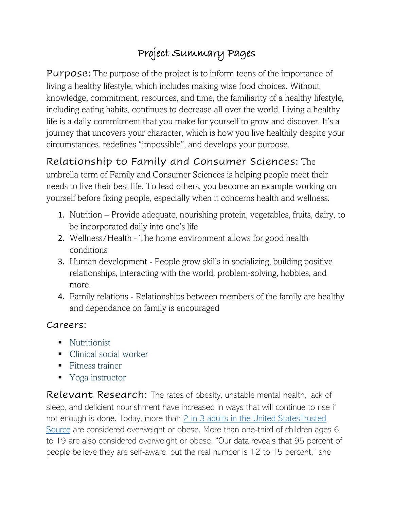## Project Summary Pages

**Purpose:** The purpose of the project is to inform teens of the importance of living a healthy lifestyle, which includes making wise food choices. Without knowledge, commitment, resources, and time, the familiarity of a healthy lifestyle, including eating habits, continues to decrease all over the world. Living a healthy life is a daily commitment that you make for yourself to grow and discover. It's a journey that uncovers your character, which is how you live healthily despite your circumstances, redefines "impossible", and develops your purpose.

## Relationship to Family and Consumer Sciences: The

umbrella term of Family and Consumer Sciences is helping people meet their needs to live their best life. To lead others, you become an example working on yourself before fixing people, especially when it concerns health and wellness.

- 1. Nutrition Provide adequate, nourishing protein, vegetables, fruits, dairy, to be incorporated daily into one's life
- 2. Wellness/Health The home environment allows for good health conditions
- 3. Human development People grow skills in socializing, building positive relationships, interacting with the world, problem-solving, hobbies, and more.
- 4. Family relations Relationships between members of the family are healthy and dependance on family is encouraged

## Careers:

- Nutritionist
- Clinical social worker
- Fitness trainer
- Yoga instructor

Relevant Research: The rates of obesity, unstable mental health, lack of sleep, and deficient nourishment have increased in ways that will continue to rise if not enough is done. Today, more than [2 in 3 adults in the United StatesTrusted](https://www.niddk.nih.gov/health-information/health-statistics/overweight-obesity)  [Source](https://www.niddk.nih.gov/health-information/health-statistics/overweight-obesity) are considered overweight or obese. More than one-third of children ages 6 to 19 are also considered overweight or obese. "Our data reveals that 95 percent of people believe they are self-aware, but the real number is 12 to 15 percent," she